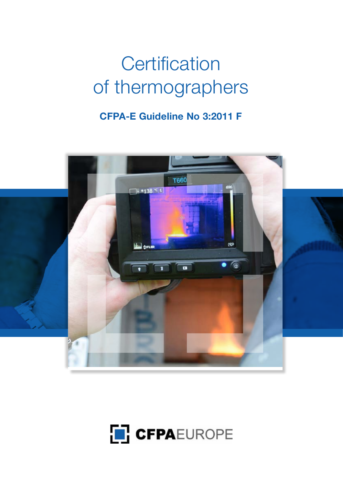# Certification of thermographers

# **CFPA-E Guideline No 3:2011 F**



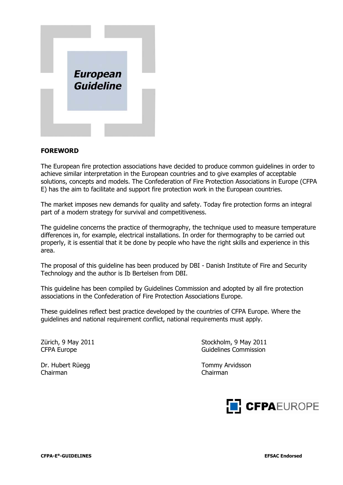

#### **FOREWORD**

The European fire protection associations have decided to produce common guidelines in order to achieve similar interpretation in the European countries and to give examples of acceptable solutions, concepts and models. The Confederation of Fire Protection Associations in Europe (CFPA E) has the aim to facilitate and support fire protection work in the European countries.

The market imposes new demands for quality and safety. Today fire protection forms an integral part of a modern strategy for survival and competitiveness.

The guideline concerns the practice of thermography, the technique used to measure temperature differences in, for example, electrical installations. In order for thermography to be carried out properly, it is essential that it be done by people who have the right skills and experience in this area.

The proposal of this guideline has been produced by DBI - Danish Institute of Fire and Security Technology and the author is Ib Bertelsen from DBI.

This guideline has been compiled by Guidelines Commission and adopted by all fire protection associations in the Confederation of Fire Protection Associations Europe.

These guidelines reflect best practice developed by the countries of CFPA Europe. Where the guidelines and national requirement conflict, national requirements must apply.

Chairman Chairman

Zürich, 9 May 2011 **Stockholm, 9 May 2011** CFPA Europe **Guidelines** Commission

Dr. Hubert Rüegg Tommy Arvidsson

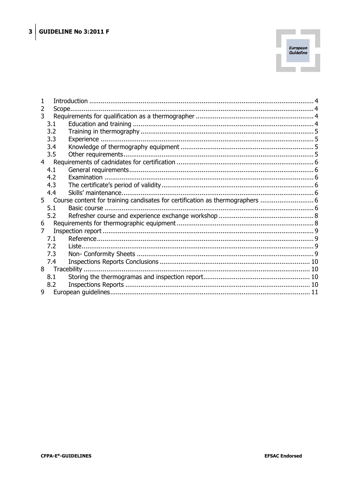

| 2 | Scope |                                                                              |  |  |  |
|---|-------|------------------------------------------------------------------------------|--|--|--|
| 3 |       |                                                                              |  |  |  |
|   | 3.1   |                                                                              |  |  |  |
|   | 3.2   |                                                                              |  |  |  |
|   | 3.3   |                                                                              |  |  |  |
|   | 3.4   |                                                                              |  |  |  |
|   | 3.5   |                                                                              |  |  |  |
|   |       |                                                                              |  |  |  |
|   | 4.1   |                                                                              |  |  |  |
|   | 4.2   |                                                                              |  |  |  |
|   | 4.3   |                                                                              |  |  |  |
|   | 4.4   |                                                                              |  |  |  |
|   |       | 5 Course content for training candisates for certification as thermographers |  |  |  |
|   | 5.1   |                                                                              |  |  |  |
|   | 5.2   |                                                                              |  |  |  |
| 6 |       |                                                                              |  |  |  |
| 7 |       |                                                                              |  |  |  |
|   | 7.1   |                                                                              |  |  |  |
|   | 7.2   |                                                                              |  |  |  |
|   | 7.3   |                                                                              |  |  |  |
|   | 7.4   |                                                                              |  |  |  |
|   |       |                                                                              |  |  |  |
|   | 8.1   |                                                                              |  |  |  |
|   | 8.2   |                                                                              |  |  |  |
| 9 |       |                                                                              |  |  |  |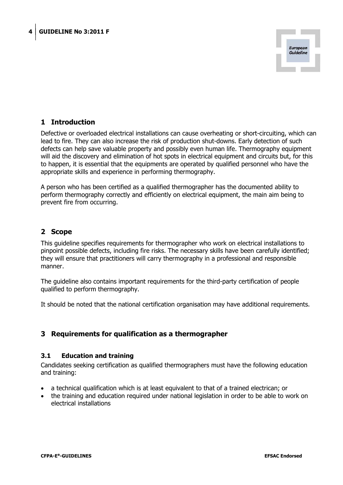

# **1 Introduction**

<span id="page-3-0"></span>Defective or overloaded electrical installations can cause overheating or short-circuiting, which can lead to fire. They can also increase the risk of production shut-downs. Early detection of such defects can help save valuable property and possibly even human life. Thermography equipment will aid the discovery and elimination of hot spots in electrical equipment and circuits but, for this to happen, it is essential that the equipments are operated by qualified personnel who have the appropriate skills and experience in performing thermography.

A person who has been certified as a qualified thermographer has the documented ability to perform thermography correctly and efficiently on electrical equipment, the main aim being to prevent fire from occurring.

# <span id="page-3-1"></span>**2 Scope**

This guideline specifies requirements for thermographer who work on electrical installations to pinpoint possible defects, including fire risks. The necessary skills have been carefully identified; they will ensure that practitioners will carry thermography in a professional and responsible manner.

The guideline also contains important requirements for the third-party certification of people qualified to perform thermography.

It should be noted that the national certification organisation may have additional requirements.

# <span id="page-3-2"></span>**3 Requirements for qualification as a thermographer**

#### **3.1 Education and training**

<span id="page-3-3"></span>Candidates seeking certification as qualified thermographers must have the following education and training:

- a technical qualification which is at least equivalent to that of a trained electrican; or
- x the training and education required under national legislation in order to be able to work on electrical installations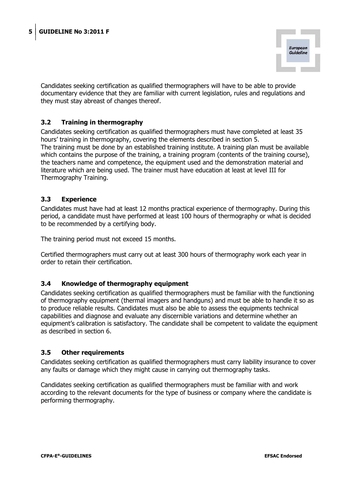

Candidates seeking certification as qualified thermographers will have to be able to provide documentary evidence that they are familiar with current legislation, rules and regulations and they must stay abreast of changes thereof.

# <span id="page-4-0"></span>**3.2 Training in thermography**

Candidates seeking certification as qualified thermographers must have completed at least 35 hours' training in thermography, covering the elements described in section 5. The training must be done by an established training institute. A training plan must be available which contains the purpose of the training, a training program (contents of the training course), the teachers name and competence, the equipment used and the demonstration material and literature which are being used. The trainer must have education at least at level III for Thermography Training.

#### <span id="page-4-1"></span>**3.3 Experience**

Candidates must have had at least 12 months practical experience of thermography. During this period, a candidate must have performed at least 100 hours of thermography or what is decided to be recommended by a certifying body.

The training period must not exceed 15 months.

Certified thermographers must carry out at least 300 hours of thermography work each year in order to retain their certification.

# <span id="page-4-2"></span>**3.4 Knowledge of thermography equipment**

Candidates seeking certification as qualified thermographers must be familiar with the functioning of thermography equipment (thermal imagers and handguns) and must be able to handle it so as to produce reliable results. Candidates must also be able to assess the equipments technical capabilities and diagnose and evaluate any discernible variations and determine whether an equipment's calibration is satisfactory. The candidate shall be competent to validate the equipment as described in section 6.

#### <span id="page-4-3"></span>**3.5 Other requirements**

Candidates seeking certification as qualified thermographers must carry liability insurance to cover any faults or damage which they might cause in carrying out thermography tasks.

Candidates seeking certification as qualified thermographers must be familiar with and work according to the relevant documents for the type of business or company where the candidate is performing thermography.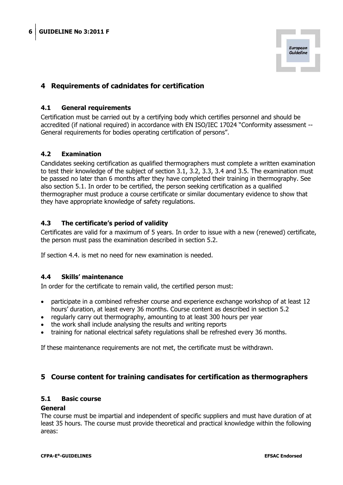

# <span id="page-5-0"></span>**4 Requirements of cadnidates for certification**

#### **4.1 General requirements**

<span id="page-5-1"></span>Certification must be carried out by a certifying body which certifies personnel and should be accredited (if national required) in accordance with EN ISO/IEC 17024 "Conformity assessment -- General requirements for bodies operating certification of persons".

#### <span id="page-5-2"></span>**4.2 Examination**

Candidates seeking certification as qualified thermographers must complete a written examination to test their knowledge of the subject of section 3.1, 3.2, 3.3, 3.4 and 3.5. The examination must be passed no later than 6 months after they have completed their training in thermography. See also section 5.1. In order to be certified, the person seeking certification as a qualified thermographer must produce a course certificate or similar documentary evidence to show that they have appropriate knowledge of safety regulations.

#### <span id="page-5-3"></span>**4.3 The certificate's period of validity**

Certificates are valid for a maximum of 5 years. In order to issue with a new (renewed) certificate, the person must pass the examination described in section 5.2.

If section 4.4. is met no need for new examination is needed.

#### <span id="page-5-4"></span>**4.4 Skills' maintenance**

In order for the certificate to remain valid, the certified person must:

- participate in a combined refresher course and experience exchange workshop of at least 12 hours' duration, at least every 36 months. Course content as described in section 5.2
- regularly carry out thermography, amounting to at least 300 hours per year
- the work shall include analysing the results and writing reports
- training for national electrical safety regulations shall be refreshed every 36 months.

If these maintenance requirements are not met, the certificate must be withdrawn.

# <span id="page-5-5"></span>**5 Course content for training candisates for certification as thermographers**

#### <span id="page-5-6"></span>**5.1 Basic course**

#### **General**

The course must be impartial and independent of specific suppliers and must have duration of at least 35 hours. The course must provide theoretical and practical knowledge within the following areas: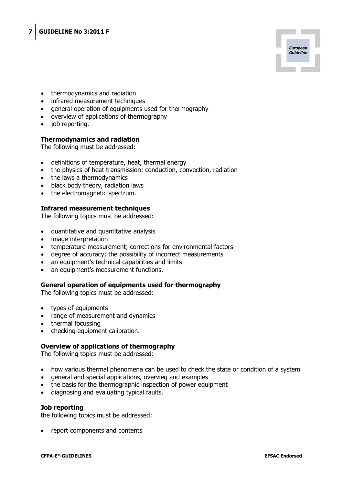

- thermodynamics and radiation
- infrared measurement techniques
- general operation of equipments used for thermography
- overview of applications of thermography
- job reporting.

#### **Thermodynamics and radiation**

The following must be addressed:

- definitions of temperature, heat, thermal energy
- the physics of heat transmission: conduction, convection, radiation
- the laws a thermodynamics
- black body theory, radiation laws
- the electromagnetic spectrum.

#### **Infrared measurement techniques**

The following topics must be addressed:

- quantitative and quantitative analysis
- image interpretation
- temperature measurement; corrections for environmental factors
- degree of accuracy; the possibility of incorrect measurements
- an equipment's technical capabilities and limits
- an equipment's measurement functions.

#### **General operation of equipments used for thermography**

The following topics must be addressed:

- types of equipments
- range of measurement and dynamics
- $\bullet$  thermal focussing
- checking equipment calibration.

#### **Overview of applications of thermography**

The following topics must be addressed:

- how various thermal phenomena can be used to check the state or condition of a system
- general and special applications, overvieg and examples
- the basis for the thermographic inspection of power equipment
- x diagnosing and evaluating typical faults.

#### **Job reporting**

the following topics must be addressed:

report components and contents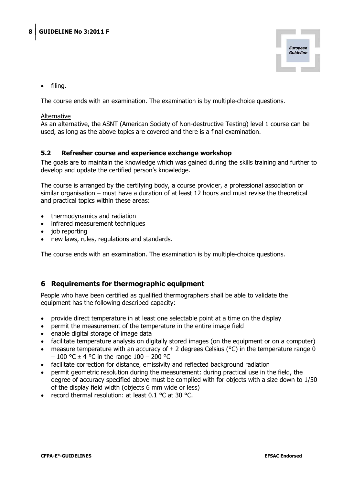

filing.

The course ends with an examination. The examination is by multiple-choice questions.

#### Alternative

As an alternative, the ASNT (American Society of Non-destructive Testing) level 1 course can be used, as long as the above topics are covered and there is a final examination.

#### <span id="page-7-0"></span>**5.2 Refresher course and experience exchange workshop**

The goals are to maintain the knowledge which was gained during the skills training and further to develop and update the certified person's knowledge.

The course is arranged by the certifying body, a course provider, a professional association or similar organisation – must have a duration of at least 12 hours and must revise the theoretical and practical topics within these areas:

- x thermodynamics and radiation
- infrared measurement techniques
- $\bullet$  job reporting
- x new laws, rules, regulations and standards.

The course ends with an examination. The examination is by multiple-choice questions.

#### <span id="page-7-1"></span>**6 Requirements for thermographic equipment**

People who have been certified as qualified thermographers shall be able to validate the equipment has the following described capacity:

- x provide direct temperature in at least one selectable point at a time on the display
- permit the measurement of the temperature in the entire image field
- enable digital storage of image data
- facilitate temperature analysis on digitally stored images (on the equipment or on a computer)
- measure temperature with an accuracy of  $\pm$  2 degrees Celsius (°C) in the temperature range 0  $-100$  °C  $\pm$  4 °C in the range 100 – 200 °C
- facilitate correction for distance, emissivity and reflected background radiation
- permit geometric resolution during the measurement: during practical use in the field, the degree of accuracy specified above must be complied with for objects with a size down to 1/50 of the display field width (objects 6 mm wide or less)
- record thermal resolution: at least  $0.1 \degree C$  at 30  $\degree C$ .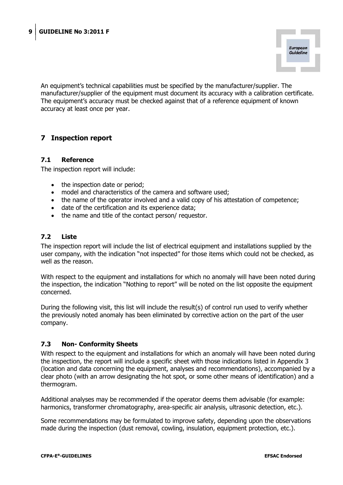

An equipment's technical capabilities must be specified by the manufacturer/supplier. The manufacturer/supplier of the equipment must document its accuracy with a calibration certificate. The equipment's accuracy must be checked against that of a reference equipment of known accuracy at least once per year.

# <span id="page-8-0"></span>**7 Inspection report**

#### **7.1 Reference**

<span id="page-8-1"></span>The inspection report will include:

- the inspection date or period;
- model and characteristics of the camera and software used;
- the name of the operator involved and a valid copy of his attestation of competence;
- date of the certification and its experience data;
- the name and title of the contact person/ requestor.

#### <span id="page-8-2"></span>**7.2 Liste**

The inspection report will include the list of electrical equipment and installations supplied by the user company, with the indication "not inspected" for those items which could not be checked, as well as the reason.

With respect to the equipment and installations for which no anomaly will have been noted during the inspection, the indication "Nothing to report" will be noted on the list opposite the equipment concerned.

During the following visit, this list will include the result(s) of control run used to verify whether the previously noted anomaly has been eliminated by corrective action on the part of the user company.

#### <span id="page-8-3"></span>**7.3 Non- Conformity Sheets**

With respect to the equipment and installations for which an anomaly will have been noted during the inspection, the report will include a specific sheet with those indications listed in Appendix 3 (location and data concerning the equipment, analyses and recommendations), accompanied by a clear photo (with an arrow designating the hot spot, or some other means of identification) and a thermogram.

Additional analyses may be recommended if the operator deems them advisable (for example: harmonics, transformer chromatography, area-specific air analysis, ultrasonic detection, etc.).

Some recommendations may be formulated to improve safety, depending upon the observations made during the inspection (dust removal, cowling, insulation, equipment protection, etc.).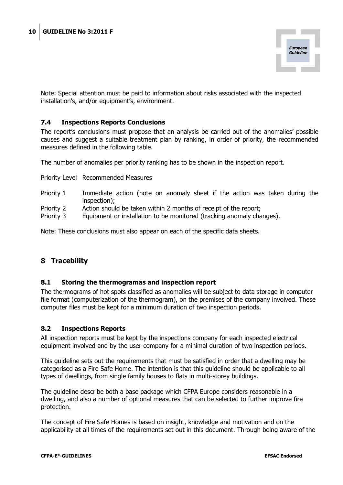

Note: Special attention must be paid to information about risks associated with the inspected installation's, and/or equipment's, environment.

#### <span id="page-9-0"></span>**7.4 Inspections Reports Conclusions**

The report's conclusions must propose that an analysis be carried out of the anomalies' possible causes and suggest a suitable treatment plan by ranking, in order of priority, the recommended measures defined in the following table.

The number of anomalies per priority ranking has to be shown in the inspection report.

Priority Level Recommended Measures

- Priority 1 Immediate action (note on anomaly sheet if the action was taken during the inspection);
- Priority 2 Action should be taken within 2 months of receipt of the report;
- Priority 3 Equipment or installation to be monitored (tracking anomaly changes).

Note: These conclusions must also appear on each of the specific data sheets.

# <span id="page-9-1"></span>**8 Tracebility**

#### <span id="page-9-2"></span>**8.1 Storing the thermogramas and inspection report**

The thermograms of hot spots classified as anomalies will be subject to data storage in computer file format (computerization of the thermogram), on the premises of the company involved. These computer files must be kept for a minimum duration of two inspection periods.

#### <span id="page-9-3"></span>**8.2 Inspections Reports**

All inspection reports must be kept by the inspections company for each inspected electrical equipment involved and by the user company for a minimal duration of two inspection periods.

This guideline sets out the requirements that must be satisfied in order that a dwelling may be categorised as a Fire Safe Home. The intention is that this guideline should be applicable to all types of dwellings, from single family houses to flats in multi-storey buildings.

The guideline describe both a base package which CFPA Europe considers reasonable in a dwelling, and also a number of optional measures that can be selected to further improve fire protection.

The concept of Fire Safe Homes is based on insight, knowledge and motivation and on the applicability at all times of the requirements set out in this document. Through being aware of the